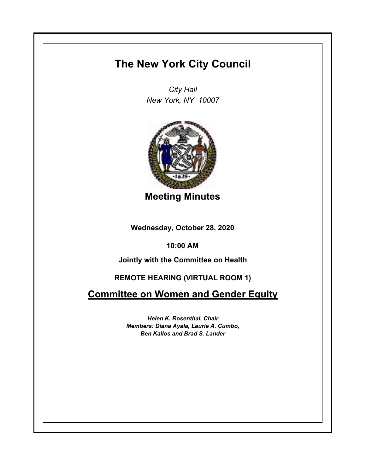## **The New York City Council**

*City Hall New York, NY 10007*



**Meeting Minutes**

**Wednesday, October 28, 2020**

**10:00 AM**

**Jointly with the Committee on Health**

## **REMOTE HEARING (VIRTUAL ROOM 1)**

**Committee on Women and Gender Equity**

*Helen K. Rosenthal, Chair Members: Diana Ayala, Laurie A. Cumbo, Ben Kallos and Brad S. Lander*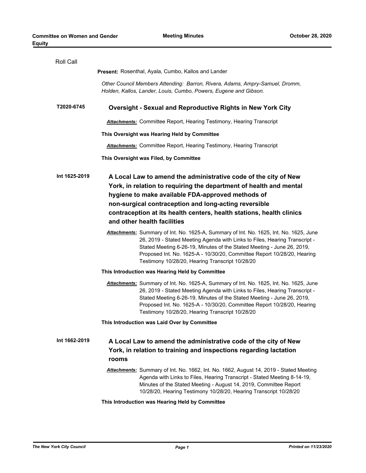| Roll Call     |                                                                                                                                                                                                                                                                                                                                                                              |
|---------------|------------------------------------------------------------------------------------------------------------------------------------------------------------------------------------------------------------------------------------------------------------------------------------------------------------------------------------------------------------------------------|
|               | <b>Present:</b> Rosenthal, Ayala, Cumbo, Kallos and Lander                                                                                                                                                                                                                                                                                                                   |
|               | Other Council Members Attending: Barron, Rivera, Adams, Ampry-Samuel, Dromm,<br>Holden, Kallos, Lander, Louis, Cumbo, Powers, Eugene and Gibson.                                                                                                                                                                                                                             |
| T2020-6745    | <b>Oversight - Sexual and Reproductive Rights in New York City</b>                                                                                                                                                                                                                                                                                                           |
|               | Attachments: Committee Report, Hearing Testimony, Hearing Transcript                                                                                                                                                                                                                                                                                                         |
|               | This Oversight was Hearing Held by Committee                                                                                                                                                                                                                                                                                                                                 |
|               | <b>Attachments:</b> Committee Report, Hearing Testimony, Hearing Transcript                                                                                                                                                                                                                                                                                                  |
|               | This Oversight was Filed, by Committee                                                                                                                                                                                                                                                                                                                                       |
| Int 1625-2019 | A Local Law to amend the administrative code of the city of New<br>York, in relation to requiring the department of health and mental<br>hygiene to make available FDA-approved methods of<br>non-surgical contraception and long-acting reversible<br>contraception at its health centers, health stations, health clinics<br>and other health facilities                   |
|               | Attachments: Summary of Int. No. 1625-A, Summary of Int. No. 1625, Int. No. 1625, June<br>26, 2019 - Stated Meeting Agenda with Links to Files, Hearing Transcript -<br>Stated Meeting 6-26-19, Minutes of the Stated Meeting - June 26, 2019,<br>Proposed Int. No. 1625-A - 10/30/20, Committee Report 10/28/20, Hearing<br>Testimony 10/28/20, Hearing Transcript 10/28/20 |
|               | This Introduction was Hearing Held by Committee                                                                                                                                                                                                                                                                                                                              |
|               | Attachments: Summary of Int. No. 1625-A, Summary of Int. No. 1625, Int. No. 1625, June<br>26, 2019 - Stated Meeting Agenda with Links to Files, Hearing Transcript -<br>Stated Meeting 6-26-19, Minutes of the Stated Meeting - June 26, 2019,<br>Proposed Int. No. 1625-A - 10/30/20, Committee Report 10/28/20, Hearing<br>Testimony 10/28/20, Hearing Transcript 10/28/20 |
|               | This Introduction was Laid Over by Committee                                                                                                                                                                                                                                                                                                                                 |
| Int 1662-2019 | A Local Law to amend the administrative code of the city of New<br>York, in relation to training and inspections regarding lactation<br>rooms                                                                                                                                                                                                                                |
|               | Attachments: Summary of Int. No. 1662, Int. No. 1662, August 14, 2019 - Stated Meeting<br>Agenda with Links to Files, Hearing Transcript - Stated Meeting 8-14-19,<br>Minutes of the Stated Meeting - August 14, 2019, Committee Report<br>10/28/20, Hearing Testimony 10/28/20, Hearing Transcript 10/28/20                                                                 |
|               | This Introduction was Hearing Held by Committee                                                                                                                                                                                                                                                                                                                              |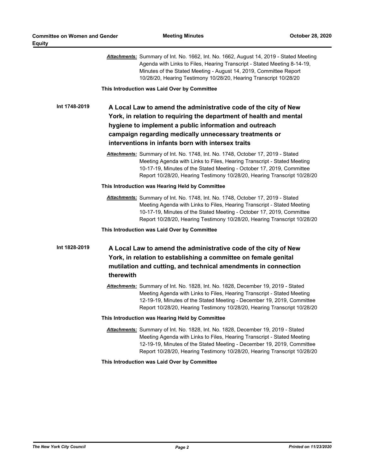|               | Attachments: Summary of Int. No. 1662, Int. No. 1662, August 14, 2019 - Stated Meeting<br>Agenda with Links to Files, Hearing Transcript - Stated Meeting 8-14-19,<br>Minutes of the Stated Meeting - August 14, 2019, Committee Report<br>10/28/20, Hearing Testimony 10/28/20, Hearing Transcript 10/28/20      |
|---------------|-------------------------------------------------------------------------------------------------------------------------------------------------------------------------------------------------------------------------------------------------------------------------------------------------------------------|
|               | This Introduction was Laid Over by Committee                                                                                                                                                                                                                                                                      |
| Int 1748-2019 | A Local Law to amend the administrative code of the city of New<br>York, in relation to requiring the department of health and mental<br>hygiene to implement a public information and outreach<br>campaign regarding medically unnecessary treatments or<br>interventions in infants born with intersex traits   |
|               | Attachments: Summary of Int. No. 1748, Int. No. 1748, October 17, 2019 - Stated<br>Meeting Agenda with Links to Files, Hearing Transcript - Stated Meeting<br>10-17-19, Minutes of the Stated Meeting - October 17, 2019, Committee<br>Report 10/28/20, Hearing Testimony 10/28/20, Hearing Transcript 10/28/20   |
|               | This Introduction was Hearing Held by Committee                                                                                                                                                                                                                                                                   |
|               | Attachments: Summary of Int. No. 1748, Int. No. 1748, October 17, 2019 - Stated<br>Meeting Agenda with Links to Files, Hearing Transcript - Stated Meeting<br>10-17-19, Minutes of the Stated Meeting - October 17, 2019, Committee<br>Report 10/28/20, Hearing Testimony 10/28/20, Hearing Transcript 10/28/20   |
|               | This Introduction was Laid Over by Committee                                                                                                                                                                                                                                                                      |
| Int 1828-2019 | A Local Law to amend the administrative code of the city of New<br>York, in relation to establishing a committee on female genital<br>mutilation and cutting, and technical amendments in connection<br>therewith                                                                                                 |
|               | Attachments: Summary of Int. No. 1828, Int. No. 1828, December 19, 2019 - Stated<br>Meeting Agenda with Links to Files, Hearing Transcript - Stated Meeting<br>12-19-19, Minutes of the Stated Meeting - December 19, 2019, Committee<br>Report 10/28/20, Hearing Testimony 10/28/20, Hearing Transcript 10/28/20 |
|               | This Introduction was Hearing Held by Committee                                                                                                                                                                                                                                                                   |
|               | Attachments: Summary of Int. No. 1828, Int. No. 1828, December 19, 2019 - Stated<br>Meeting Agenda with Links to Files, Hearing Transcript - Stated Meeting<br>12-19-19, Minutes of the Stated Meeting - December 19, 2019, Committee<br>Report 10/28/20, Hearing Testimony 10/28/20, Hearing Transcript 10/28/20 |

## **This Introduction was Laid Over by Committee**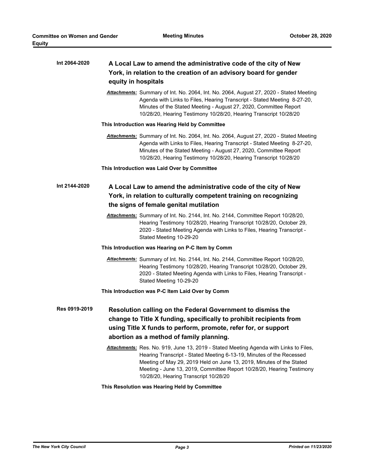| Int 2064-2020 | A Local Law to amend the administrative code of the city of New<br>York, in relation to the creation of an advisory board for gender<br>equity in hospitals                                                                                                                                                                                             |
|---------------|---------------------------------------------------------------------------------------------------------------------------------------------------------------------------------------------------------------------------------------------------------------------------------------------------------------------------------------------------------|
|               | Attachments: Summary of Int. No. 2064, Int. No. 2064, August 27, 2020 - Stated Meeting<br>Agenda with Links to Files, Hearing Transcript - Stated Meeting 8-27-20,<br>Minutes of the Stated Meeting - August 27, 2020, Committee Report<br>10/28/20, Hearing Testimony 10/28/20, Hearing Transcript 10/28/20                                            |
|               | This Introduction was Hearing Held by Committee                                                                                                                                                                                                                                                                                                         |
|               | Attachments: Summary of Int. No. 2064, Int. No. 2064, August 27, 2020 - Stated Meeting<br>Agenda with Links to Files, Hearing Transcript - Stated Meeting 8-27-20,<br>Minutes of the Stated Meeting - August 27, 2020, Committee Report<br>10/28/20, Hearing Testimony 10/28/20, Hearing Transcript 10/28/20                                            |
|               | This Introduction was Laid Over by Committee                                                                                                                                                                                                                                                                                                            |
| Int 2144-2020 | A Local Law to amend the administrative code of the city of New<br>York, in relation to culturally competent training on recognizing<br>the signs of female genital mutilation                                                                                                                                                                          |
|               | Attachments: Summary of Int. No. 2144, Int. No. 2144, Committee Report 10/28/20,<br>Hearing Testimony 10/28/20, Hearing Transcript 10/28/20, October 29,<br>2020 - Stated Meeting Agenda with Links to Files, Hearing Transcript -<br>Stated Meeting 10-29-20                                                                                           |
|               | This Introduction was Hearing on P-C Item by Comm                                                                                                                                                                                                                                                                                                       |
|               | Attachments: Summary of Int. No. 2144, Int. No. 2144, Committee Report 10/28/20,<br>Hearing Testimony 10/28/20, Hearing Transcript 10/28/20, October 29,<br>2020 - Stated Meeting Agenda with Links to Files, Hearing Transcript -<br>Stated Meeting 10-29-20                                                                                           |
|               | This Introduction was P-C Item Laid Over by Comm                                                                                                                                                                                                                                                                                                        |
| Res 0919-2019 | Resolution calling on the Federal Government to dismiss the<br>change to Title X funding, specifically to prohibit recipients from<br>using Title X funds to perform, promote, refer for, or support<br>abortion as a method of family planning.                                                                                                        |
|               | Attachments: Res. No. 919, June 13, 2019 - Stated Meeting Agenda with Links to Files,<br>Hearing Transcript - Stated Meeting 6-13-19, Minutes of the Recessed<br>Meeting of May 29, 2019 Held on June 13, 2019, Minutes of the Stated<br>Meeting - June 13, 2019, Committee Report 10/28/20, Hearing Testimony<br>10/28/20, Hearing Transcript 10/28/20 |
|               | This Resolution was Hearing Held by Committee                                                                                                                                                                                                                                                                                                           |